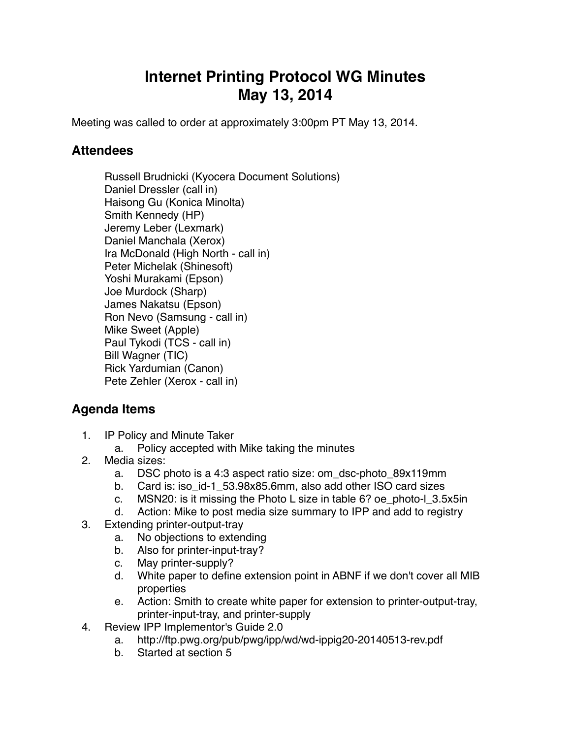## **Internet Printing Protocol WG Minutes May 13, 2014**

Meeting was called to order at approximately 3:00pm PT May 13, 2014.

## **Attendees**

Russell Brudnicki (Kyocera Document Solutions) Daniel Dressler (call in) Haisong Gu (Konica Minolta) Smith Kennedy (HP) Jeremy Leber (Lexmark) Daniel Manchala (Xerox) Ira McDonald (High North - call in) Peter Michelak (Shinesoft) Yoshi Murakami (Epson) Joe Murdock (Sharp) James Nakatsu (Epson) Ron Nevo (Samsung - call in) Mike Sweet (Apple) Paul Tykodi (TCS - call in) Bill Wagner (TIC) Rick Yardumian (Canon) Pete Zehler (Xerox - call in)

## **Agenda Items**

- 1. IP Policy and Minute Taker
	- a. Policy accepted with Mike taking the minutes
- 2. Media sizes:
	- a. DSC photo is a 4:3 aspect ratio size: om\_dsc-photo\_89x119mm
	- b. Card is: iso\_id-1\_53.98x85.6mm, also add other ISO card sizes
	- c. MSN20: is it missing the Photo L size in table 6? oe\_photo-l\_3.5x5in
	- d. Action: Mike to post media size summary to IPP and add to registry
- 3. Extending printer-output-tray
	- a. No objections to extending
	- b. Also for printer-input-tray?
	- c. May printer-supply?
	- d. White paper to define extension point in ABNF if we don't cover all MIB properties
	- e. Action: Smith to create white paper for extension to printer-output-tray, printer-input-tray, and printer-supply
- 4. Review IPP Implementor's Guide 2.0
	- a. http://ftp.pwg.org/pub/pwg/ipp/wd/wd-ippig20-20140513-rev.pdf
	- b. Started at section 5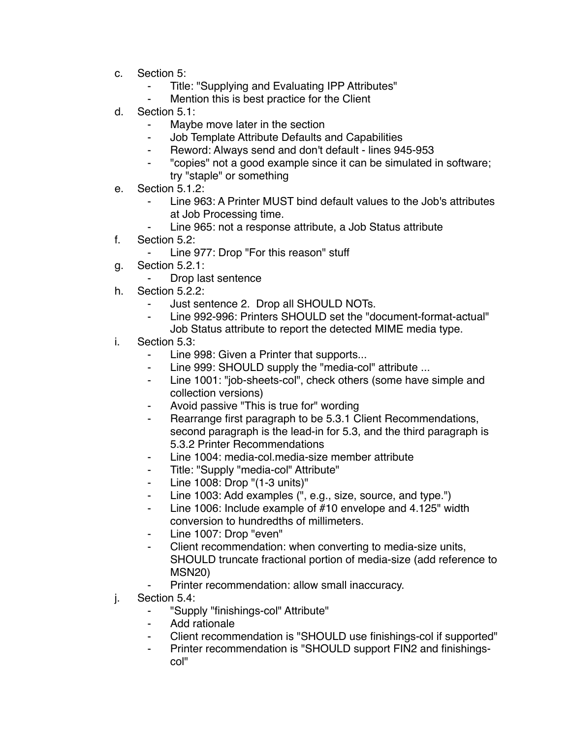- c. Section 5:
	- Title: "Supplying and Evaluating IPP Attributes"
	- Mention this is best practice for the Client
- d. Section 5.1:
	- ⁃ Maybe move later in the section
	- **Job Template Attribute Defaults and Capabilities**
	- ⁃ Reword: Always send and don't default lines 945-953
	- ⁃ "copies" not a good example since it can be simulated in software; try "staple" or something
- e. Section 5.1.2:
	- Line 963: A Printer MUST bind default values to the Job's attributes at Job Processing time.
	- Line 965: not a response attribute, a Job Status attribute
- f. Section 5.2:
	- ⁃ Line 977: Drop "For this reason" stuff
- g. Section 5.2.1:
	- ⁃ Drop last sentence
- h. Section 5.2.2:
	- Just sentence 2. Drop all SHOULD NOTs.
	- ⁃ Line 992-996: Printers SHOULD set the "document-format-actual" Job Status attribute to report the detected MIME media type.
- i. Section 5.3:
	- Line 998: Given a Printer that supports...
	- ⁃ Line 999: SHOULD supply the "media-col" attribute ...
	- ⁃ Line 1001: "job-sheets-col", check others (some have simple and collection versions)
	- Avoid passive "This is true for" wording
	- Rearrange first paragraph to be 5.3.1 Client Recommendations, second paragraph is the lead-in for 5.3, and the third paragraph is 5.3.2 Printer Recommendations
	- Line 1004: media-col.media-size member attribute
	- ⁃ Title: "Supply "media-col" Attribute"
	- Line 1008: Drop "(1-3 units)"
	- ⁃ Line 1003: Add examples (", e.g., size, source, and type.")
	- ⁃ Line 1006: Include example of #10 envelope and 4.125" width conversion to hundredths of millimeters.
	- ⁃ Line 1007: Drop "even"
	- Client recommendation: when converting to media-size units, SHOULD truncate fractional portion of media-size (add reference to MSN20)
		- Printer recommendation: allow small inaccuracy.
- j. Section 5.4:
	- ⁃ "Supply "finishings-col" Attribute"
	- ⁃ Add rationale
	- Client recommendation is "SHOULD use finishings-col if supported"
	- Printer recommendation is "SHOULD support FIN2 and finishingscol"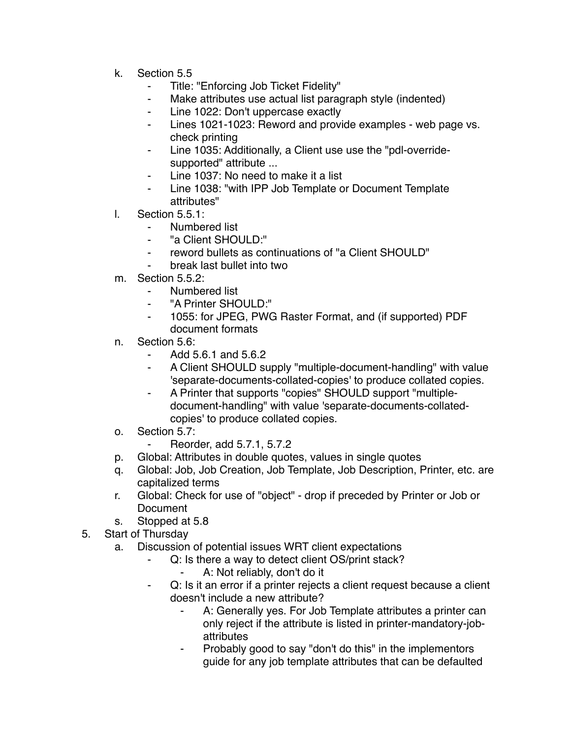- k. Section 5.5
	- ⁃ Title: "Enforcing Job Ticket Fidelity"
	- Make attributes use actual list paragraph style (indented)
	- ⁃ Line 1022: Don't uppercase exactly
	- ⁃ Lines 1021-1023: Reword and provide examples web page vs. check printing
	- ⁃ Line 1035: Additionally, a Client use use the "pdl-overridesupported" attribute ...
	- Line 1037: No need to make it a list
	- ⁃ Line 1038: "with IPP Job Template or Document Template attributes"
- l. Section 5.5.1:
	- Numbered list
	- ⁃ "a Client SHOULD:"
	- ⁃ reword bullets as continuations of "a Client SHOULD"
	- ⁃ break last bullet into two
- m. Section 5.5.2:
	- Numbered list
	- ⁃ "A Printer SHOULD:"
	- ⁃ 1055: for JPEG, PWG Raster Format, and (if supported) PDF document formats
- n. Section 5.6:
	- ⁃ Add 5.6.1 and 5.6.2
	- ⁃ A Client SHOULD supply "multiple-document-handling" with value 'separate-documents-collated-copies' to produce collated copies.
	- A Printer that supports "copies" SHOULD support "multipledocument-handling" with value 'separate-documents-collatedcopies' to produce collated copies.
- o. Section 5.7:
	- ⁃ Reorder, add 5.7.1, 5.7.2
- p. Global: Attributes in double quotes, values in single quotes
- q. Global: Job, Job Creation, Job Template, Job Description, Printer, etc. are capitalized terms
- r. Global: Check for use of "object" drop if preceded by Printer or Job or **Document**
- s. Stopped at 5.8
- 5. Start of Thursday
	- a. Discussion of potential issues WRT client expectations
		- Q: Is there a way to detect client OS/print stack?
			- A: Not reliably, don't do it
		- ⁃ Q: Is it an error if a printer rejects a client request because a client doesn't include a new attribute?
			- A: Generally yes. For Job Template attributes a printer can only reject if the attribute is listed in printer-mandatory-jobattributes
			- ⁃ Probably good to say "don't do this" in the implementors guide for any job template attributes that can be defaulted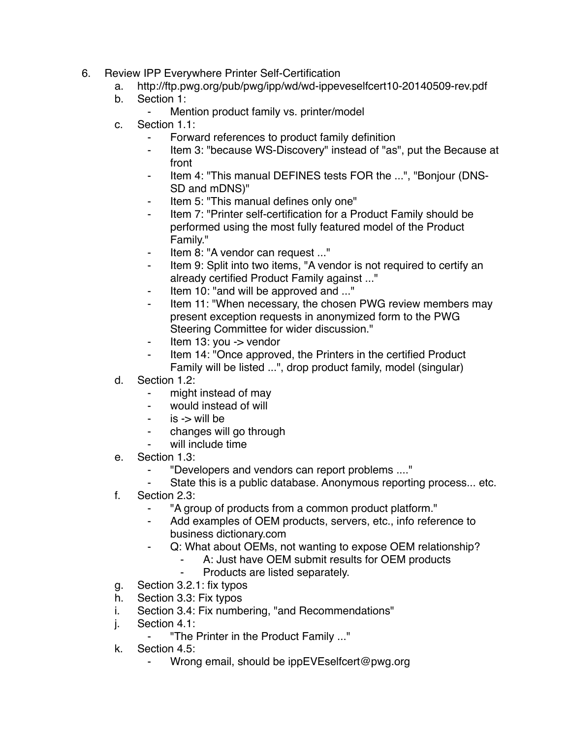- 6. Review IPP Everywhere Printer Self-Certification
	- a. http://ftp.pwg.org/pub/pwg/ipp/wd/wd-ippeveselfcert10-20140509-rev.pdf
	- b. Section 1:
		- ⁃ Mention product family vs. printer/model
	- c. Section 1.1:
		- Forward references to product family definition
		- ⁃ Item 3: "because WS-Discovery" instead of "as", put the Because at front
		- Item 4: "This manual DEFINES tests FOR the ...", "Bonjour (DNS-SD and mDNS)"
		- Item 5: "This manual defines only one"
		- Item 7: "Printer self-certification for a Product Family should be performed using the most fully featured model of the Product Family."
		- ⁃ Item 8: "A vendor can request ..."
		- Item 9: Split into two items, "A vendor is not required to certify an already certified Product Family against ..."
		- ⁃ Item 10: "and will be approved and ..."
		- Item 11: "When necessary, the chosen PWG review members may present exception requests in anonymized form to the PWG Steering Committee for wider discussion."
		- Item 13: you -> vendor
		- Item 14: "Once approved, the Printers in the certified Product Family will be listed ...", drop product family, model (singular)
	- d. Section 1.2:
		- ⁃ might instead of may
		- ⁃ would instead of will
		- $is$  -> will be
		- changes will go through
		- will include time
	- e. Section 1.3:
		- ⁃ "Developers and vendors can report problems ...."
		- State this is a public database. Anonymous reporting process... etc.
	- f. Section 2.3:
		- ⁃ "A group of products from a common product platform."
		- Add examples of OEM products, servers, etc., info reference to business dictionary.com
		- ⁃ Q: What about OEMs, not wanting to expose OEM relationship?
			- A: Just have OEM submit results for OEM products
			- Products are listed separately.
	- g. Section 3.2.1: fix typos
	- h. Section 3.3: Fix typos
	- i. Section 3.4: Fix numbering, "and Recommendations"
	- j. Section 4.1:
		- ⁃ "The Printer in the Product Family ..."
	- k. Section 4.5:
		- Wrong email, should be ippEVEselfcert@pwg.org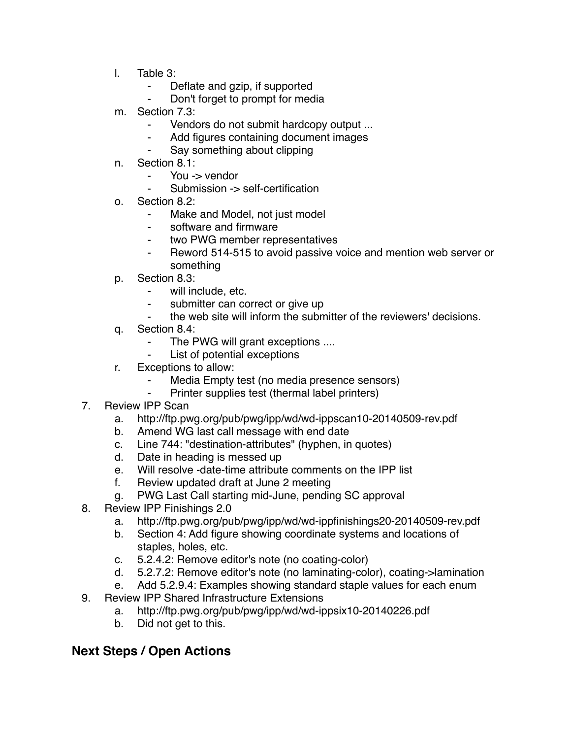- l. Table 3:
	- ⁃ Deflate and gzip, if supported
	- Don't forget to prompt for media
- m. Section 7.3:
	- ⁃ Vendors do not submit hardcopy output ...
	- Add figures containing document images
	- Say something about clipping
- n. Section 8.1:
	- You -> vendor
	- Submission -> self-certification
- o. Section 8.2:
	- ⁃ Make and Model, not just model
	- software and firmware
	- ⁃ two PWG member representatives
	- ⁃ Reword 514-515 to avoid passive voice and mention web server or something
- p. Section 8.3:
	- ⁃ will include, etc.
	- submitter can correct or give up
	- the web site will inform the submitter of the reviewers' decisions.
- q. Section 8.4:
	- The PWG will grant exceptions ....
	- List of potential exceptions
- r. Exceptions to allow:
	- Media Empty test (no media presence sensors)
	- Printer supplies test (thermal label printers)
- 7. Review IPP Scan
	- a. http://ftp.pwg.org/pub/pwg/ipp/wd/wd-ippscan10-20140509-rev.pdf
	- b. Amend WG last call message with end date
	- c. Line 744: "destination-attributes" (hyphen, in quotes)
	- d. Date in heading is messed up
	- e. Will resolve -date-time attribute comments on the IPP list
	- f. Review updated draft at June 2 meeting
	- g. PWG Last Call starting mid-June, pending SC approval
- 8. Review IPP Finishings 2.0
	- a. http://ftp.pwg.org/pub/pwg/ipp/wd/wd-ippfinishings20-20140509-rev.pdf
	- b. Section 4: Add figure showing coordinate systems and locations of staples, holes, etc.
	- c. 5.2.4.2: Remove editor's note (no coating-color)
	- d. 5.2.7.2: Remove editor's note (no laminating-color), coating->lamination
	- e. Add 5.2.9.4: Examples showing standard staple values for each enum
- 9. Review IPP Shared Infrastructure Extensions
	- a. http://ftp.pwg.org/pub/pwg/ipp/wd/wd-ippsix10-20140226.pdf
	- b. Did not get to this.

## **Next Steps / Open Actions**